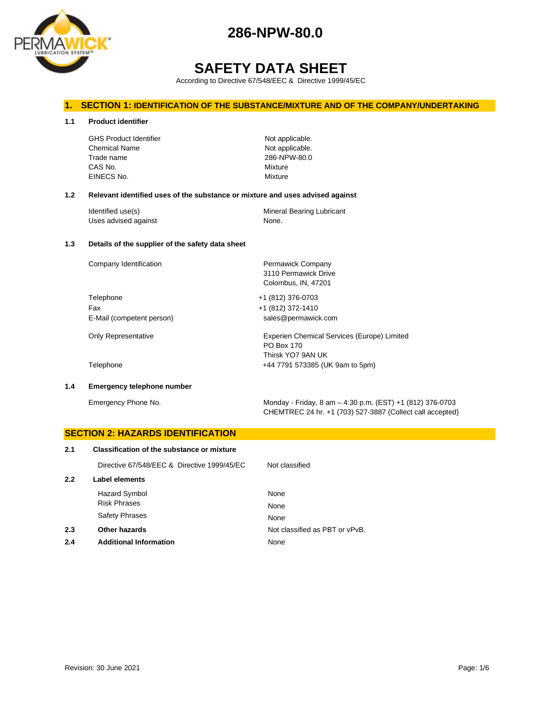

# **SAFETY DATA SHEET**

According to Directive 67/548/EEC & Directive 1999/45/EC

#### **1. SECTION 1: IDENTIFICATION OF THE SUBSTANCE/MIXTURE AND OF THE COMPANY/UNDERTAKING**

**1.1 Product identifier**

GHS Product Identifier Not applicable. Chemical Name Not applicable. Trade name 286-NPW-80.0 CAS No. Mixture EINECS No. 2008 2009 2009 2009 2009 2009 2012 2022 2030 2040 2052 2053 2062 2073 2074 2075 2076 2077 2078 2079

3110 Permawick Drive Colombus, IN, 47201

PO Box 170 Thirsk YO7 9AN UK

#### **1.2 Relevant identified uses of the substance or mixture and uses advised against**

| Identified use(s)    | Mineral Bearing Lubricant |
|----------------------|---------------------------|
| Uses advised against | None.                     |

#### **1.3 Details of the supplier of the safety data sheet**

Company Identification **Permawick Company** 

Telephone +1 (812) 376-0703 Fax +1 (812) 372-1410 E-Mail (competent person) sales@permawick.com

Only Representative Experien Chemical Services (Europe) Limited

Telephone +44 7791 573385 (UK 9am to 5pm)

#### **1.4 Emergency telephone number**

Emergency Phone No. Monday - Friday, 8 am – 4:30 p.m. (EST) +1 (812) 376-0703 CHEMTREC 24 hr. +1 (703) 527-3887 (Collect call accepted)

## **SECTION 2: HAZARDS IDENTIFICATION 2.1 Classification of the substance or mixture** Directive 67/548/EEC & Directive 1999/45/EC Not classified **2.2 Label elements** Hazard Symbol None Risk Phrases None Safety Phrases None **2.3 Other hazards Details Other hazards Other hazards Not classified as PBT or vPvB. 2.4 Additional Information** None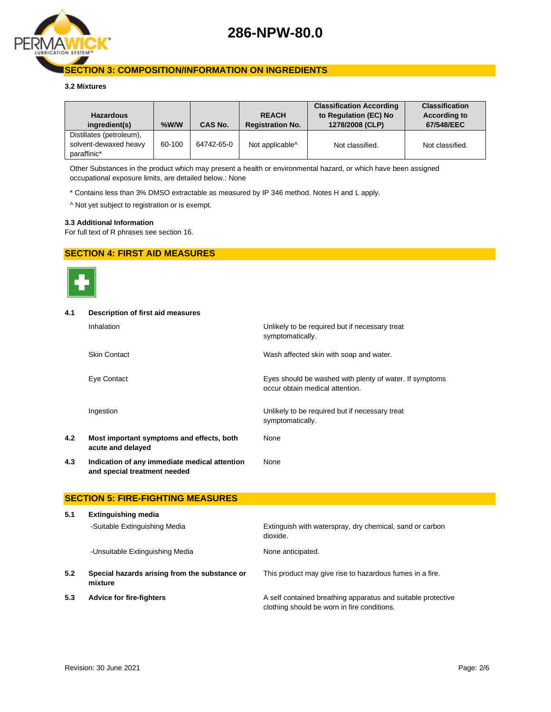

#### **SECTION 3: COMPOSITION/INFORMATION ON INGREDIENTS**

#### **3.2 Mixtures**

| <b>Hazardous</b><br>ingredient(s)                                | $%$ W/W | CAS No.    | <b>REACH</b><br><b>Registration No.</b> | <b>Classification According</b><br>to Regulation (EC) No<br>1278/2008 (CLP) | <b>Classification</b><br><b>According to</b><br>67/548/EEC |
|------------------------------------------------------------------|---------|------------|-----------------------------------------|-----------------------------------------------------------------------------|------------------------------------------------------------|
| Distillates (petroleum),<br>solvent-dewaxed heavy<br>paraffinic* | 60-100  | 64742-65-0 | Not applicable <sup>^</sup>             | Not classified.                                                             | Not classified.                                            |

Other Substances in the product which may present a health or environmental hazard, or which have been assigned occupational exposure limits, are detailed below.: None

\* Contains less than 3% DMSO extractable as measured by IP 346 method. Notes H and L apply.

^ Not yet subject to registration or is exempt.

#### **3.3 Additional Information**

For full text of R phrases see section 16.

#### **SECTION 4: FIRST AID MEASURES**



# **4.1 Description of first aid measures**

|     | Inhalation                                                                    | Unlikely to be required but if necessary treat<br>symptomatically.                         |
|-----|-------------------------------------------------------------------------------|--------------------------------------------------------------------------------------------|
|     | <b>Skin Contact</b>                                                           | Wash affected skin with soap and water.                                                    |
|     | Eye Contact                                                                   | Eyes should be washed with plenty of water. If symptoms<br>occur obtain medical attention. |
|     | Ingestion                                                                     | Unlikely to be required but if necessary treat<br>symptomatically.                         |
| 4.2 | Most important symptoms and effects, both<br>acute and delayed                | None                                                                                       |
| 4.3 | Indication of any immediate medical attention<br>and special treatment needed | None                                                                                       |

#### **SECTION 5: FIRE-FIGHTING MEASURES**

| 5.1 | <b>Extinguishing media</b>                               |                                                                                                             |  |  |  |
|-----|----------------------------------------------------------|-------------------------------------------------------------------------------------------------------------|--|--|--|
|     | -Suitable Extinguishing Media                            | Extinguish with waterspray, dry chemical, sand or carbon<br>dioxide.                                        |  |  |  |
|     | -Unsuitable Extinguishing Media                          | None anticipated.                                                                                           |  |  |  |
| 5.2 | Special hazards arising from the substance or<br>mixture | This product may give rise to hazardous fumes in a fire.                                                    |  |  |  |
| 5.3 | <b>Advice for fire-fighters</b>                          | A self contained breathing apparatus and suitable protective<br>clothing should be worn in fire conditions. |  |  |  |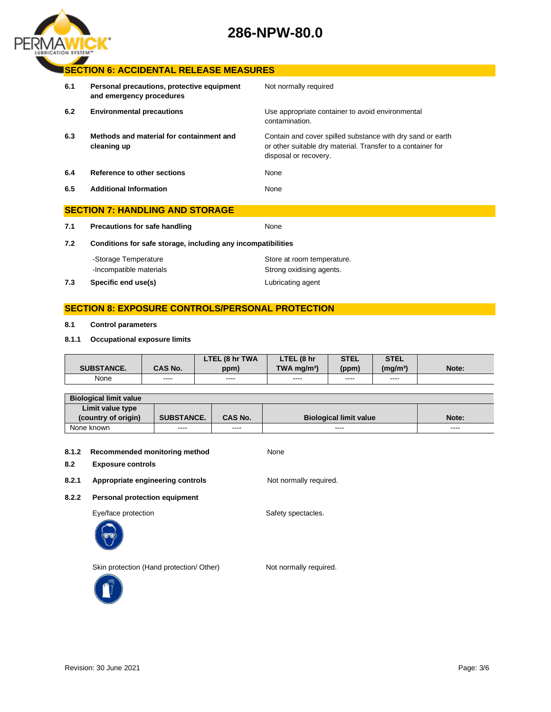

#### **SECTION 6: ACCIDENTAL RELEASE MEASURES**

| 6.1 | Personal precautions, protective equipment<br>and emergency procedures | Not normally required                                                                                                                              |
|-----|------------------------------------------------------------------------|----------------------------------------------------------------------------------------------------------------------------------------------------|
| 6.2 | <b>Environmental precautions</b>                                       | Use appropriate container to avoid environmental<br>contamination.                                                                                 |
| 6.3 | Methods and material for containment and<br>cleaning up                | Contain and cover spilled substance with dry sand or earth<br>or other suitable dry material. Transfer to a container for<br>disposal or recovery. |
| 6.4 | Reference to other sections                                            | None                                                                                                                                               |
| 6.5 | <b>Additional Information</b>                                          | None                                                                                                                                               |
|     | <b>SECTION 7: HANDLING AND STORAGE</b>                                 |                                                                                                                                                    |

**7.1 Precautions for safe handling None** 

**7.2 Conditions for safe storage, including any incompatibilities**

| 7.3 | Specific end use(s)     | Lubricating agent          |
|-----|-------------------------|----------------------------|
|     | -Incompatible materials | Strong oxidising agents.   |
|     | -Storage Temperature    | Store at room temperature. |

### **SECTION 8: EXPOSURE CONTROLS/PERSONAL PROTECTION**

#### **8.1 Control parameters**

#### **8.1.1 Occupational exposure limits**

|                   |                | LTEL (8 hr TWA | LTEL (8 hr                | STEL  | <b>STEL</b>          |       |
|-------------------|----------------|----------------|---------------------------|-------|----------------------|-------|
| <b>SUBSTANCE.</b> | <b>CAS No.</b> | ppm)           | $TWA$ ma/m <sup>3</sup> ) | (ppm) | (mg/m <sup>3</sup> ) | Note: |
| None              | ----           | ----           | $\frac{1}{2}$             | ----  | ----                 |       |

| <b>Biological limit value</b> |                   |                |                               |       |
|-------------------------------|-------------------|----------------|-------------------------------|-------|
| Limit value type              |                   |                |                               |       |
| (country of origin)           | <b>SUBSTANCE.</b> | <b>CAS No.</b> | <b>Biological limit value</b> | Note: |
| None known                    | $\cdots$          | ----           | $\cdots$                      | ----  |

#### **8.1.2 Recommended monitoring method** None

#### **8.2 Exposure controls**

8.2.1 **Appropriate engineering controls** Not normally required.

**8.2.2 Personal protection equipment**

Eye/face protection extensive spectacles.



Skin protection (Hand protection/ Other) Not normally required.

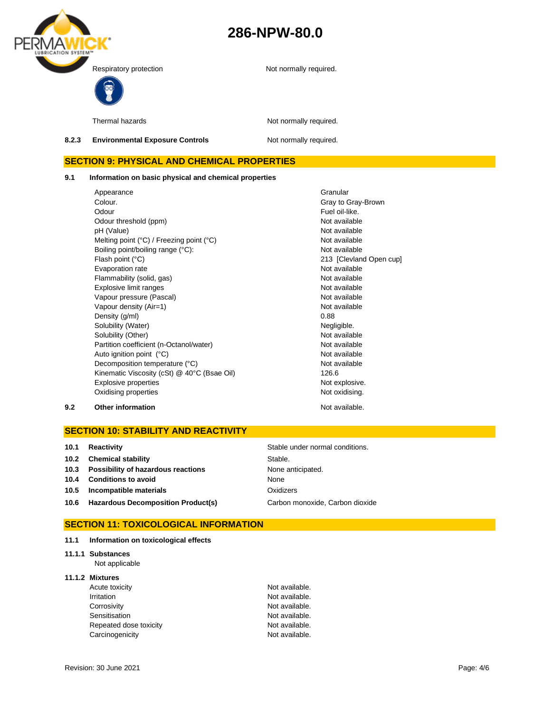



Thermal hazards **Not required.** Not normally required.

#### **8.2.3 Environmental Exposure Controls Not normally required.**

### **SECTION 9: PHYSICAL AND CHEMICAL PROPERTIES**

**9.1 Information on basic physical and chemical properties**

Appearance **Granular** Colour. Colour. Odour **Fuel oil-like.** Odour threshold (ppm) Not available pH (Value) Not available Melting point (°C) / Freezing point (°C) Not available Boiling point/boiling range (°C): Not available Flash point (°C) 213 [Clevland Open cup] Evaporation rate Not available Flammability (solid, gas) Not available Explosive limit ranges **Not available** Not available Vapour pressure (Pascal) Not available Not available Vapour density (Air=1) Not available Density (g/ml) 0.88 Solubility (Water) Negligible. Solubility (Other) Not available Partition coefficient (n-Octanol/water) Not available Auto ignition point (°C) and the contract of the Not available Not available Decomposition temperature (°C) Not available Kinematic Viscosity (cSt) @ 40°C (Bsae Oil) 126.6 Explosive properties Not explosive. Oxidising properties Not oxidising.

**9.2 Other information Not available. Other information** 

### **SECTION 10: STABILITY AND REACTIVITY**

| 10.1 | Reactivity                              | Stable under normal conditions. |
|------|-----------------------------------------|---------------------------------|
|      | 10.2 Chemical stability                 | Stable.                         |
|      | 10.3 Possibility of hazardous reactions | None anticipated.               |
|      | 10.4 Conditions to avoid                | None                            |
|      | 10.5 Incompatible materials             | Oxidizers                       |
|      | 10.6 Hazardous Decomposition Product(s) | Carbon monoxide, Carbon dioxide |

#### **SECTION 11: TOXICOLOGICAL INFORMATION**

| 11.1 | Information on toxicological effects |  |  |  |
|------|--------------------------------------|--|--|--|
|------|--------------------------------------|--|--|--|

### **11.1.1 Substances**

Not applicable

#### **11.1.2 Mixtures**

| Acute toxicity         | Not available. |
|------------------------|----------------|
| Irritation             | Not available. |
| Corrosivity            | Not available. |
| Sensitisation          | Not available. |
| Repeated dose toxicity | Not available. |
| Carcinogenicity        | Not available. |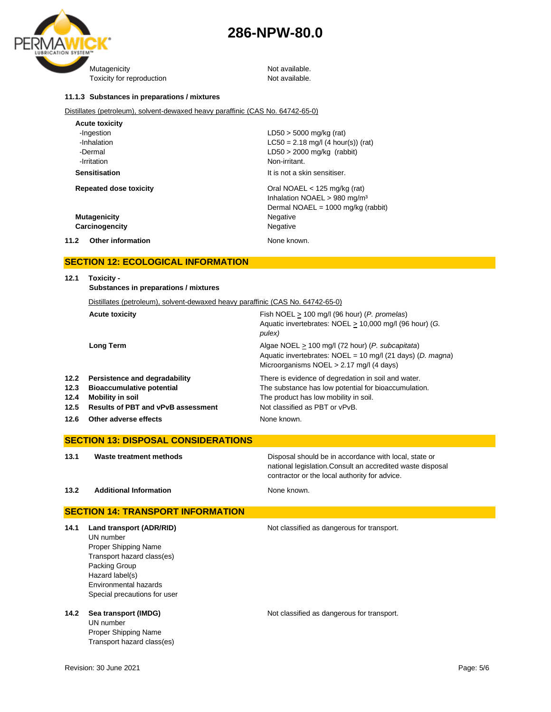



#### **11.1.3 Substances in preparations / mixtures**

Distillates (petroleum), solvent-dewaxed heavy paraffinic (CAS No. 64742-65-0)

| <b>Acute toxicity</b>            |                                              |
|----------------------------------|----------------------------------------------|
| -Ingestion                       | $LD50 > 5000$ mg/kg (rat)                    |
| -Inhalation                      | $LC50 = 2.18$ mg/l (4 hour(s)) (rat)         |
| -Dermal                          | $LD50 > 2000$ mg/kg (rabbit)                 |
| -Irritation                      | Non-irritant.                                |
| <b>Sensitisation</b>             | It is not a skin sensitiser.                 |
| <b>Repeated dose toxicity</b>    | Oral NOAEL $<$ 125 mg/kg (rat)               |
|                                  | Inhalation NOAEL > 980 mg/m <sup>3</sup>     |
|                                  | Dermal NOAEL = $1000 \text{ mg/kg}$ (rabbit) |
| <b>Mutagenicity</b>              | Negative                                     |
| Carcinogencity                   | Negative                                     |
| 11.2<br><b>Other information</b> | None known.                                  |

### **SECTION 12: ECOLOGICAL INFORMATION**

| Toxicity -<br>Substances in preparations / mixtures                                                                                       |                                                                                                                                                                                        |  |
|-------------------------------------------------------------------------------------------------------------------------------------------|----------------------------------------------------------------------------------------------------------------------------------------------------------------------------------------|--|
| Distillates (petroleum), solvent-dewaxed heavy paraffinic (CAS No. 64742-65-0)                                                            |                                                                                                                                                                                        |  |
| <b>Acute toxicity</b>                                                                                                                     | Fish NOEL $> 100$ mg/l (96 hour) (P. promelas)<br>Aquatic invertebrates: NOEL > 10,000 mg/l (96 hour) (G.<br>pulex)                                                                    |  |
| <b>Long Term</b>                                                                                                                          | Algae NOEL > 100 mg/l (72 hour) (P. subcapitata)<br>Aquatic invertebrates: $NOEL = 10$ mg/l (21 days) (D. magna)<br>Microorganisms $NOEL > 2.17$ mg/l (4 days)                         |  |
| Persistence and degradability<br><b>Bioaccumulative potential</b><br><b>Mobility in soil</b><br><b>Results of PBT and vPvB assessment</b> | There is evidence of degredation in soil and water.<br>The substance has low potential for bioaccumulation.<br>The product has low mobility in soil.<br>Not classified as PBT or vPvB. |  |
|                                                                                                                                           | <u>JLUTIVN TZ. LUULUUIUAL INI UNIIIATIUN</u>                                                                                                                                           |  |

**12.6 Other adverse effects None known.** None known.

### **SECTION 13: DISPOSAL CONSIDERATIONS**

**13.1 Waste treatment methods** Disposal should be in accordance with local, state or national legislation.Consult an accredited waste disposal contractor or the local authority for advice.

#### **13.2 Additional Information None known.**

### **SECTION 14: TRANSPORT INFORMATION**

| Land transport (ADR/RID)     | Not classified as dangerous for transport. |
|------------------------------|--------------------------------------------|
| UN number                    |                                            |
| Proper Shipping Name         |                                            |
| Transport hazard class(es)   |                                            |
| Packing Group                |                                            |
| Hazard label(s)              |                                            |
| Environmental hazards        |                                            |
| Special precautions for user |                                            |
|                              |                                            |

UN number Proper Shipping Name Transport hazard class(es)

**14.2 Sea transport (IMDG)** Not classified as dangerous for transport.